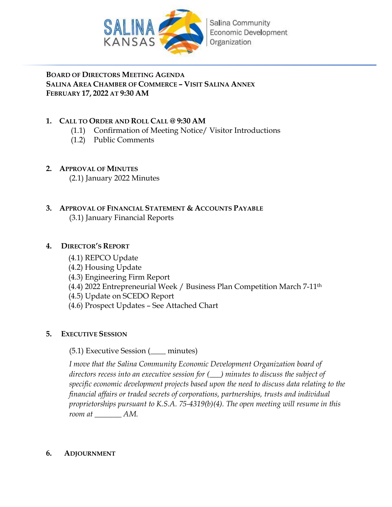

# **BOARD OF DIRECTORS MEETING AGENDA SALINA AREA CHAMBER OF COMMERCE – VISIT SALINA ANNEX FEBRUARY 17, 2022 AT 9:30 AM**

# **1. CALL TO ORDER AND ROLL CALL @ 9:30 AM**

- (1.1) Confirmation of Meeting Notice/ Visitor Introductions
- (1.2) Public Comments

# **2. APPROVAL OF MINUTES**

(2.1) January 2022 Minutes

# **3. APPROVAL OF FINANCIAL STATEMENT & ACCOUNTS PAYABLE** (3.1) January Financial Reports

# **4. DIRECTOR'S REPORT**

- (4.1) REPCO Update
- (4.2) Housing Update
- (4.3) Engineering Firm Report
- (4.4) 2022 Entrepreneurial Week / Business Plan Competition March 7-11th
- (4.5) Update on SCEDO Report
- (4.6) Prospect Updates See Attached Chart

# **5. EXECUTIVE SESSION**

# (5.1) Executive Session (\_\_\_\_ minutes)

*I move that the Salina Community Economic Development Organization board of directors recess into an executive session for (\_\_\_) minutes to discuss the subject of specific economic development projects based upon the need to discuss data relating to the financial affairs or traded secrets of corporations, partnerships, trusts and individual proprietorships pursuant to K.S.A. 75-4319(b)(4). The open meeting will resume in this room at \_\_\_\_\_\_\_ AM.*

# **6. ADJOURNMENT**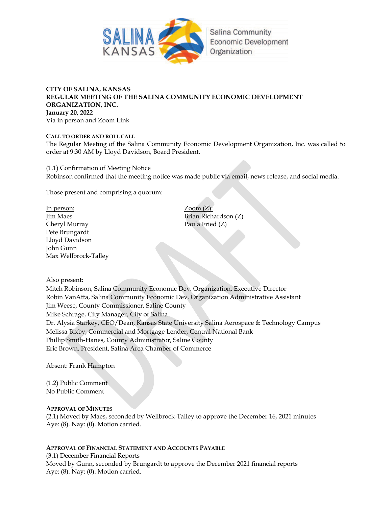

#### **CITY OF SALINA, KANSAS REGULAR MEETING OF THE SALINA COMMUNITY ECONOMIC DEVELOPMENT ORGANIZATION, INC. January 20, 2022** Via in person and Zoom Link

**CALL TO ORDER AND ROLL CALL** The Regular Meeting of the Salina Community Economic Development Organization, Inc. was called to order at 9:30 AM by Lloyd Davidson, Board President.

(1.1) Confirmation of Meeting Notice Robinson confirmed that the meeting notice was made public via email, news release, and social media.

Those present and comprising a quorum:

In person: Zoom (Z): Jim Maes Brian Richardson (Z) Cheryl Murray Paula Fried (Z) Pete Brungardt Lloyd Davidson John Gunn Max Wellbrock-Talley

Also present:

Mitch Robinson, Salina Community Economic Dev. Organization, Executive Director Robin VanAtta, Salina Community Economic Dev. Organization Administrative Assistant Jim Weese, County Commissioner, Saline County Mike Schrage, City Manager, City of Salina Dr. Alysia Starkey, CEO/Dean, Kansas State University Salina Aerospace & Technology Campus Melissa Bixby, Commercial and Mortgage Lender, Central National Bank Phillip Smith-Hanes, County Administrator, Saline County Eric Brown, President, Salina Area Chamber of Commerce

Absent: Frank Hampton

(1.2) Public Comment No Public Comment

#### **APPROVAL OF MINUTES**

(2.1) Moved by Maes, seconded by Wellbrock-Talley to approve the December 16, 2021 minutes Aye: (8). Nay: (0). Motion carried.

#### **APPROVAL OF FINANCIAL STATEMENT AND ACCOUNTS PAYABLE**

(3.1) December Financial Reports Moved by Gunn, seconded by Brungardt to approve the December 2021 financial reports Aye: (8). Nay: (0). Motion carried.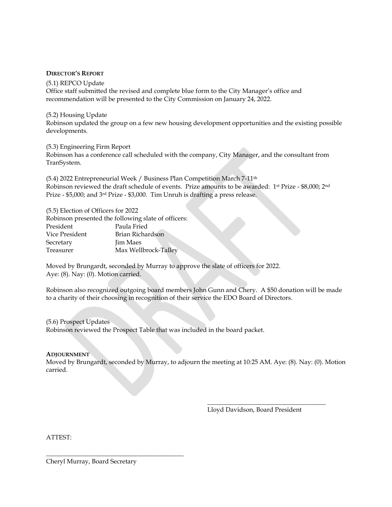#### **DIRECTOR'S REPORT**

(5.1) REPCO Update Office staff submitted the revised and complete blue form to the City Manager's office and recommendation will be presented to the City Commission on January 24, 2022.

(5.2) Housing Update

Robinson updated the group on a few new housing development opportunities and the existing possible developments.

#### (5.3) Engineering Firm Report

Robinson has a conference call scheduled with the company, City Manager, and the consultant from TranSystem.

(5.4) 2022 Entrepreneurial Week / Business Plan Competition March 7-11th Robinson reviewed the draft schedule of events. Prize amounts to be awarded: 1st Prize - \$8,000; 2nd Prize - \$5,000; and 3rd Prize - \$3,000. Tim Unruh is drafting a press release.

| (5.5) Election of Officers for 2022 |                                                     |
|-------------------------------------|-----------------------------------------------------|
|                                     | Robinson presented the following slate of officers: |
| President                           | Paula Fried                                         |
| Vice President                      | Brian Richardson                                    |
| Secretary                           | <b>Jim Maes</b>                                     |
| Treasurer                           | Max Wellbrock-Talley                                |

Moved by Brungardt, seconded by Murray to approve the slate of officers for 2022. Aye: (8). Nay: (0). Motion carried.

Robinson also recognized outgoing board members John Gunn and Chery. A \$50 donation will be made to a charity of their choosing in recognition of their service the EDO Board of Directors.

(5.6) Prospect Updates Robinson reviewed the Prospect Table that was included in the board packet.

#### **ADJOURNMENT**

Moved by Brungardt, seconded by Murray, to adjourn the meeting at 10:25 AM. Aye: (8). Nay: (0). Motion carried.

Lloyd Davidson, Board President

\_\_\_\_\_\_\_\_\_\_\_\_\_\_\_\_\_\_\_\_\_\_\_\_\_\_\_\_\_\_\_\_\_\_\_\_\_

ATTEST:

Cheryl Murray, Board Secretary

\_\_\_\_\_\_\_\_\_\_\_\_\_\_\_\_\_\_\_\_\_\_\_\_\_\_\_\_\_\_\_\_\_\_\_\_\_\_\_\_\_\_\_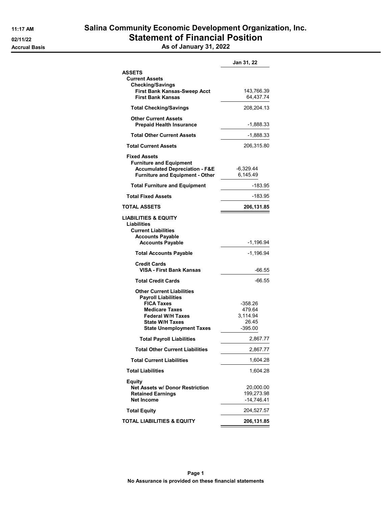|                                           | Jan 31, 22   |
|-------------------------------------------|--------------|
| <b>ASSETS</b>                             |              |
| <b>Current Assets</b>                     |              |
| <b>Checking/Savings</b>                   |              |
| <b>First Bank Kansas-Sweep Acct</b>       | 143,766.39   |
| <b>First Bank Kansas</b>                  | 64,437.74    |
| <b>Total Checking/Savings</b>             | 208,204.13   |
| <b>Other Current Assets</b>               |              |
| <b>Prepaid Health Insurance</b>           | -1,888.33    |
| <b>Total Other Current Assets</b>         | -1,888.33    |
| <b>Total Current Assets</b>               | 206,315.80   |
| <b>Fixed Assets</b>                       |              |
| <b>Furniture and Equipment</b>            |              |
| <b>Accumulated Depreciation - F&amp;E</b> | -6,329.44    |
| <b>Furniture and Equipment - Other</b>    | 6,145.49     |
| <b>Total Furniture and Equipment</b>      | -183.95      |
| <b>Total Fixed Assets</b>                 | -183.95      |
| TOTAL ASSETS                              | 206,131.85   |
| <b>LIABILITIES &amp; EQUITY</b>           |              |
| Liabilities                               |              |
| <b>Current Liabilities</b>                |              |
| <b>Accounts Payable</b>                   |              |
|                                           |              |
| <b>Accounts Payable</b>                   | -1,196.94    |
| <b>Total Accounts Payable</b>             | $-1,196.94$  |
| <b>Credit Cards</b>                       |              |
| VISA - First Bank Kansas                  | -66.55       |
| <b>Total Credit Cards</b>                 | $-66.55$     |
| <b>Other Current Liabilities</b>          |              |
| <b>Payroll Liabilities</b>                |              |
|                                           |              |
| <b>FICA Taxes</b>                         | -358.26      |
| <b>Medicare Taxes</b>                     | 479.64       |
| <b>Federal W/H Taxes</b>                  | 3.114.94     |
| <b>State W/H Taxes</b>                    | 26.45        |
| <b>State Unemployment Taxes</b>           | $-395.00$    |
| <b>Total Payroll Liabilities</b>          | 2,867.77     |
| <b>Total Other Current Liabilities</b>    | 2,867.77     |
| <b>Total Current Liabilities</b>          | 1,604.28     |
| <b>Total Liabilities</b>                  | 1,604.28     |
| <b>Equity</b>                             |              |
| Net Assets w/ Donor Restriction           | 20,000.00    |
| <b>Retained Earnings</b>                  | 199,273.98   |
| <b>Net Income</b>                         | $-14,746.41$ |
| <b>Total Equity</b>                       | 204,527.57   |
| TOTAL LIABILITIES & EQUITY                | 206,131.85   |
|                                           |              |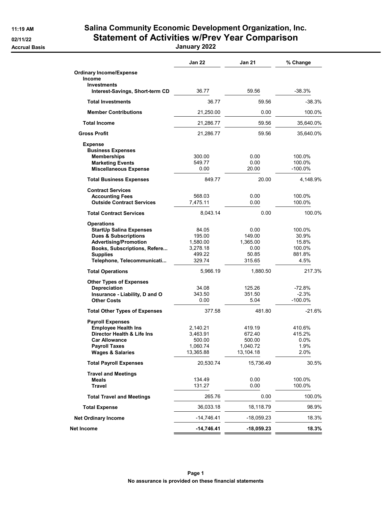# 11:19 AM Salina Community Economic Development Organization, Inc. 02/11/22 Statement of Activities w/Prev Year Comparison

Accrual Basis January 2022

|                                                                   | Jan 22                | <b>Jan 21</b>         | % Change          |
|-------------------------------------------------------------------|-----------------------|-----------------------|-------------------|
| <b>Ordinary Income/Expense</b><br>Income                          |                       |                       |                   |
| <b>Investments</b><br>Interest-Savings, Short-term CD             | 36.77                 | 59.56                 | -38.3%            |
| <b>Total Investments</b>                                          | 36.77                 | 59.56                 | $-38.3%$          |
| <b>Member Contributions</b>                                       | 21,250.00             | 0.00                  | 100.0%            |
| <b>Total Income</b>                                               | 21,286.77             | 59.56                 | 35,640.0%         |
| <b>Gross Profit</b>                                               | 21,286.77             | 59.56                 | 35,640.0%         |
| <b>Expense</b><br><b>Business Expenses</b>                        |                       |                       |                   |
| <b>Memberships</b>                                                | 300.00                | 0.00                  | 100.0%            |
| <b>Marketing Events</b><br><b>Miscellaneous Expense</b>           | 549.77<br>0.00        | 0.00<br>20.00         | 100.0%<br>-100.0% |
| <b>Total Business Expenses</b>                                    | 849.77                | 20.00                 | 4,148.9%          |
| <b>Contract Services</b>                                          |                       |                       |                   |
| <b>Accounting Fees</b><br><b>Outside Contract Services</b>        | 568.03                | 0.00                  | 100.0%            |
|                                                                   | 7,475.11              | 0.00                  | 100.0%            |
| <b>Total Contract Services</b>                                    | 8,043.14              | 0.00                  | 100.0%            |
| <b>Operations</b>                                                 |                       |                       |                   |
| <b>StartUp Salina Expenses</b><br><b>Dues &amp; Subscriptions</b> | 84.05<br>195.00       | 0.00<br>149.00        | 100.0%<br>30.9%   |
| <b>Advertising/Promotion</b>                                      | 1,580.00              | 1,365.00              | 15.8%             |
| Books, Subscriptions, Refere                                      | 3,278.18              | 0.00                  | 100.0%            |
| <b>Supplies</b>                                                   | 499.22                | 50.85                 | 881.8%            |
| Telephone, Telecommunicati                                        | 329.74                | 315.65                | 4.5%              |
| <b>Total Operations</b>                                           | 5,966.19              | 1,880.50              | 217.3%            |
| <b>Other Types of Expenses</b>                                    |                       |                       |                   |
| Depreciation                                                      | 34.08<br>343.50       | 125.26<br>351.50      | -72.8%<br>$-2.3%$ |
| Insurance - Liability, D and O<br><b>Other Costs</b>              | 0.00                  | 5.04                  | -100.0%           |
| <b>Total Other Types of Expenses</b>                              | 377.58                | 481.80                | $-21.6%$          |
| <b>Payroll Expenses</b>                                           |                       |                       |                   |
| <b>Employee Health Ins</b>                                        | 2,140.21              | 419.19                | 410.6%            |
| Director Health & Life Ins                                        | 3,463.91              | 672.40                | 415.2%            |
| <b>Car Allowance</b>                                              | 500.00                | 500.00                | $0.0\%$           |
| <b>Payroll Taxes</b><br><b>Wages &amp; Salaries</b>               | 1,060.74<br>13,365.88 | 1,040.72<br>13,104.18 | 1.9%<br>2.0%      |
| <b>Total Payroll Expenses</b>                                     | 20,530.74             | 15,736.49             | 30.5%             |
| <b>Travel and Meetings</b>                                        |                       |                       |                   |
| Meals                                                             | 134.49                | 0.00                  | 100.0%            |
| Travel                                                            | 131.27                | 0.00                  | 100.0%            |
| <b>Total Travel and Meetings</b>                                  | 265.76                | 0.00                  | 100.0%            |
| <b>Total Expense</b>                                              | 36,033.18             | 18,118.79             | 98.9%             |
| <b>Net Ordinary Income</b>                                        | -14,746.41            | -18,059.23            | 18.3%             |
| Net Income                                                        | -14,746.41            | -18,059.23            | 18.3%             |
|                                                                   |                       |                       |                   |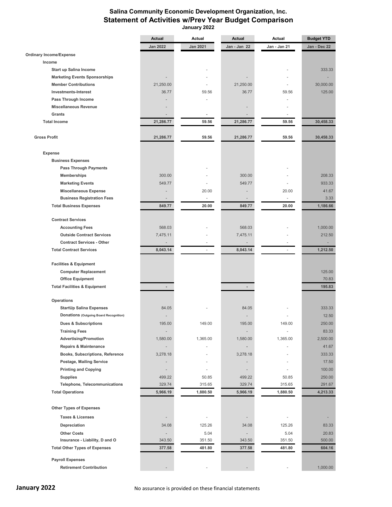# **Salina Community Economic Development Organization, Inc. Statement of Activities w/Prev Year Budget Comparison**

 **January 2022**

|                                         | Actual          | Actual          | Actual                   | Actual       | Budget YTD   |
|-----------------------------------------|-----------------|-----------------|--------------------------|--------------|--------------|
|                                         | <b>Jan 2022</b> | <b>Jan 2021</b> | Jan - Jan 22             | Jan - Jan 21 | Jan - Dec 22 |
| <b>Ordinary Income/Expense</b>          |                 |                 |                          |              |              |
| Income                                  |                 |                 |                          |              |              |
| Start up Salina Income                  |                 |                 |                          |              | 333.33       |
| <b>Marketing Events Sponsorships</b>    |                 |                 |                          |              |              |
| <b>Member Contributions</b>             | 21,250.00       |                 | 21,250.00                | ÷.           | 30,000.00    |
| <b>Investments-Interest</b>             | 36.77           | 59.56           | 36.77                    | 59.56        | 125.00       |
| Pass Through Income                     |                 |                 |                          |              |              |
| <b>Miscellaneous Revenue</b>            |                 |                 |                          |              |              |
| Grants                                  |                 |                 |                          |              |              |
| <b>Total Income</b>                     | 21,286.77       | 59.56           | 21,286.77                | 59.56        | 30,458.33    |
|                                         |                 |                 |                          |              |              |
| <b>Gross Profit</b>                     | 21,286.77       | 59.56           | 21,286.77                | 59.56        | 30,458.33    |
|                                         |                 |                 |                          |              |              |
| <b>Expense</b>                          |                 |                 |                          |              |              |
| <b>Business Expenses</b>                |                 |                 |                          |              |              |
| <b>Pass Through Payments</b>            |                 |                 |                          |              |              |
| <b>Memberships</b>                      | 300.00          |                 | 300.00                   |              | 208.33       |
| <b>Marketing Events</b>                 | 549.77          |                 | 549.77                   |              | 933.33       |
| <b>Miscellaneous Expense</b>            |                 | 20.00           |                          | 20.00        | 41.67        |
| <b>Business Registration Fees</b>       |                 | ÷               |                          | ÷            | 3.33         |
| <b>Total Business Expenses</b>          | 849.77          | 20.00           | 849.77                   | 20.00        | 1,186.66     |
|                                         |                 |                 |                          |              |              |
| <b>Contract Services</b>                |                 |                 |                          |              |              |
| <b>Accounting Fees</b>                  | 568.03          |                 | 568.03                   |              | 1,000.00     |
| <b>Outside Contract Services</b>        | 7,475.11        |                 | 7,475.11                 |              | 212.50       |
| <b>Contract Services - Other</b>        |                 |                 |                          |              |              |
| <b>Total Contract Services</b>          | 8,043.14        |                 | 8,043.14                 |              | 1,212.50     |
| <b>Facilities &amp; Equipment</b>       |                 |                 |                          |              |              |
| <b>Computer Replacement</b>             |                 |                 |                          |              | 125.00       |
| <b>Office Equipment</b>                 |                 |                 |                          |              | 70.83        |
| <b>Total Facilities &amp; Equipment</b> | $\blacksquare$  |                 | $\overline{\phantom{a}}$ |              | 195.83       |
|                                         |                 |                 |                          |              |              |
| Operations                              |                 |                 |                          |              |              |
| <b>StartUp Salina Expenses</b>          | 84.05           |                 | 84.05                    |              | 333.33       |
| Donations (Outgoing Board Recognition)  |                 |                 |                          |              | 12.50        |
| <b>Dues &amp; Subscriptions</b>         | 195.00          | 149.00          | 195.00                   | 149.00       | 250.00       |
| <b>Training Fees</b>                    |                 |                 |                          |              | 83.33        |
| <b>Advertising/Promotion</b>            | 1,580.00        | 1,365.00        | 1,580.00                 | 1,365.00     | 2,500.00     |
| <b>Repairs &amp; Maintenance</b>        |                 |                 |                          |              | 41.67        |
| Books, Subscriptions, Reference         | 3,278.18        |                 | 3,278.18                 |              | 333.33       |
| Postage, Mailing Service                |                 |                 |                          |              | 17.50        |
| <b>Printing and Copying</b>             |                 |                 |                          |              | 100.00       |
| <b>Supplies</b>                         | 499.22          | 50.85           | 499.22                   | 50.85        | 250.00       |
| <b>Telephone, Telecommunications</b>    | 329.74          | 315.65          | 329.74                   | 315.65       | 291.67       |
| <b>Total Operations</b>                 | 5,966.19        | 1,880.50        | 5,966.19                 | 1,880.50     | 4,213.33     |
|                                         |                 |                 |                          |              |              |
| <b>Other Types of Expenses</b>          |                 |                 |                          |              |              |
| <b>Taxes &amp; Licenses</b>             |                 |                 |                          |              |              |
| Depreciation                            | 34.08           | 125.26          | 34.08                    | 125.26       | 83.33        |
| <b>Other Costs</b>                      |                 | 5.04            |                          | 5.04         | 20.83        |
| Insurance - Liability, D and O          | 343.50          | 351.50          | 343.50                   | 351.50       | 500.00       |
| <b>Total Other Types of Expenses</b>    | 377.58          | 481.80          | 377.58                   | 481.80       | 604.16       |
|                                         |                 |                 |                          |              |              |
| <b>Payroll Expenses</b>                 |                 |                 |                          |              |              |
| <b>Retirement Contribution</b>          |                 |                 |                          |              | 1,000.00     |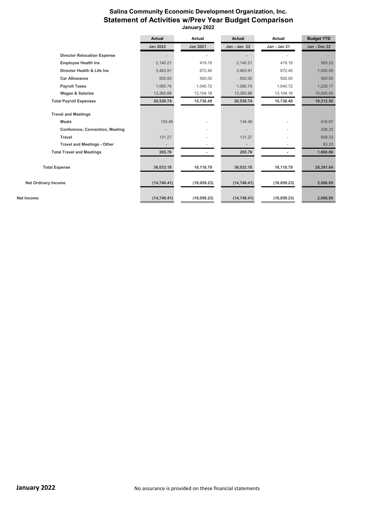# **Salina Community Economic Development Organization, Inc. Statement of Activities w/Prev Year Budget Comparison January 2022**

|                                    | <b>Actual</b>            | Actual                   | <b>Actual</b>            | <b>Actual</b> | <b>Budget YTD</b> |
|------------------------------------|--------------------------|--------------------------|--------------------------|---------------|-------------------|
|                                    | <b>Jan 2022</b>          | <b>Jan 2021</b>          | Jan - Jan 22             | Jan - Jan 21  | Jan - Dec 22      |
| <b>Director Relocation Expense</b> |                          |                          |                          |               |                   |
| <b>Employee Health Ins</b>         | 2,140.21                 | 419.19                   | 2,140.21                 | 419.19        | 583.33            |
| Director Health & Life Ins         | 3,463.91                 | 672.40                   | 3,463.91                 | 672.40        | 1,000.00          |
| <b>Car Allowance</b>               | 500.00                   | 500.00                   | 500.00                   | 500.00        | 500.00            |
| <b>Payroll Taxes</b>               | 1,060.74                 | 1,040.72                 | 1,060.74                 | 1,040.72      | 1,229.17          |
| <b>Wages &amp; Salaries</b>        | 13,365.88                | 13, 104. 18              | 13,365.88                | 13,104.18     | 15,000.00         |
| <b>Total Payroll Expenses</b>      | 20,530.74                | 15,736.49                | 20,530.74                | 15,736.49     | 19,312.50         |
| <b>Travel and Meetings</b>         |                          |                          |                          |               |                   |
| <b>Meals</b>                       | 134.49                   |                          | 134.49                   |               | 416.67            |
| Conference, Convention, Meeting    |                          | $\overline{\phantom{a}}$ |                          | ٠             | 208.33            |
| Travel                             | 131.27                   | ٠                        | 131.27                   |               | 958.33            |
| <b>Travel and Meetings - Other</b> | $\overline{\phantom{0}}$ |                          | $\overline{\phantom{m}}$ |               | 83.33             |
| <b>Total Travel and Meetings</b>   | 265.76                   |                          | 265.76                   |               | 1,666.66          |
| <b>Total Expense</b>               | 36,033.18                | 18,118.79                | 36,033.18                | 18,118.79     | 28,391.64         |
| <b>Net Ordinary Income</b>         | (14, 746.41)             | (18,059.23)              | (14, 746.41)             | (18,059.23)   | 2,066.69          |
| Net Income                         | (14, 746.41)             | (18,059.23)              | (14, 746.41)             | (18,059.23)   | 2,066.69          |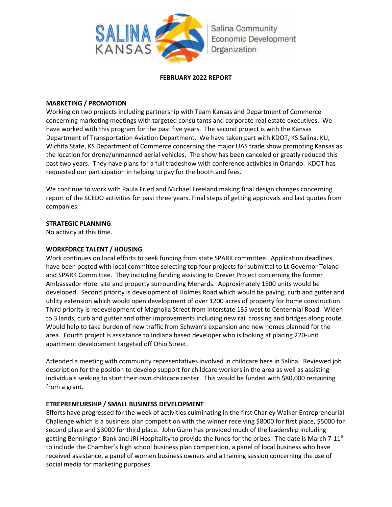

#### **FEBRUARY 2022 REPORT**

# **MARKETING / PROMOTION**

Working on two projects including partnership with Team Kansas and Department of Commerce concerning marketing meetings with targeted consultants and corporate real estate executives. We have worked with this program for the past five years. The second project is with the Kansas Department of Transportation Aviation Department. We have taken part with KDOT, KS Salina, KU, Wichita State, KS Department of Commerce concerning the major UAS trade show promoting Kansas as the location for drone/unmanned aerial vehicles. The show has been canceled or greatly reduced this past two years. They have plans for a full tradeshow with conference activities in Orlando. KDOT has requested our participation in helping to pay for the booth and fees.

We continue to work with Paula Fried and Michael Freeland making final design changes concerning report of the SCEDO activities for past three years. Final steps of getting approvals and last quotes from companies.

# **STRATEGIC PLANNING**

No activity at this time.

# **WORKFORCE TALENT / HOUSING**

Work continues on local efforts to seek funding from state SPARK committee. Application deadlines have been posted with local committee selecting top four projects for submittal to Lt Governor Toland and SPARK Committee. They including funding assisting to Drever Project concerning the former Ambassador Hotel site and property surrounding Menards. Approximately 1500 units would be developed. Second priority is development of Holmes Road which would be paving, curb and gutter and utility extension which would open development of over 1200 acres of property for home construction. Third priority is redevelopment of Magnolia Street from Interstate 135 west to Centennial Road. Widen to 3 lands, curb and gutter and other improvements including new rail crossing and bridges along route. Would help to take burden of new traffic from Schwan's expansion and new homes planned for the area. Fourth project is assistance to Indiana based developer who is looking at placing 220-unit apartment development targeted off Ohio Street.

Attended a meeting with community representatives involved in childcare here in Salina. Reviewed job description for the position to develop support for childcare workers in the area as well as assisting individuals seeking to start their own childcare center. This would be funded with \$80,000 remaining from a grant.

# **ETREPRENEURSHIP / SMALL BUSINESS DEVELOPMENT**

Efforts have progressed for the week of activities culminating in the first Charley Walker Entrepreneurial Challenge which is a business plan competition with the winner receiving \$8000 for first place, \$5000 for second place and \$3000 for third place. John Gunn has provided much of the leadership including getting Bennington Bank and JRI Hospitality to provide the funds for the prizes. The date is March 7-11<sup>th</sup> to include the Chamber's high school business plan competition, a panel of local business who have received assistance, a panel of women business owners and a training session concerning the use of social media for marketing purposes.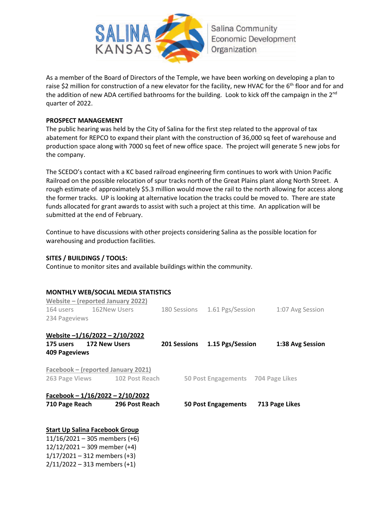

As a member of the Board of Directors of the Temple, we have been working on developing a plan to raise \$2 million for construction of a new elevator for the facility, new HVAC for the 6<sup>th</sup> floor and for and the addition of new ADA certified bathrooms for the building. Look to kick off the campaign in the 2<sup>nd</sup> quarter of 2022.

#### **PROSPECT MANAGEMENT**

The public hearing was held by the City of Salina for the first step related to the approval of tax abatement for REPCO to expand their plant with the construction of 36,000 sq feet of warehouse and production space along with 7000 sq feet of new office space. The project will generate 5 new jobs for the company.

The SCEDO's contact with a KC based railroad engineering firm continues to work with Union Pacific Railroad on the possible relocation of spur tracks north of the Great Plains plant along North Street. A rough estimate of approximately \$5.3 million would move the rail to the north allowing for access along the former tracks. UP is looking at alternative location the tracks could be moved to. There are state funds allocated for grant awards to assist with such a project at this time. An application will be submitted at the end of February.

Continue to have discussions with other projects considering Salina as the possible location for warehousing and production facilities.

# **SITES / BUILDINGS / TOOLS:**

Continue to monitor sites and available buildings within the community.

# **MONTHLY WEB/SOCIAL MEDIA STATISTICS**

| Website – (reported January 2022)     |                        |                                    |                               |  |                                    |                  |  |  |
|---------------------------------------|------------------------|------------------------------------|-------------------------------|--|------------------------------------|------------------|--|--|
|                                       | 164 users 162New Users |                                    | 180 Sessions 1.61 Pgs/Session |  |                                    | 1:07 Avg Session |  |  |
| 234 Pageviews                         |                        |                                    |                               |  |                                    |                  |  |  |
| Website -1/16/2022 - 2/10/2022        |                        |                                    |                               |  |                                    |                  |  |  |
| 175 users 172 New Users               |                        |                                    |                               |  | 201 Sessions 1.15 Pgs/Session      | 1:38 Avg Session |  |  |
| 409 Pageviews                         |                        |                                    |                               |  |                                    |                  |  |  |
|                                       |                        | Facebook – (reported January 2021) |                               |  |                                    |                  |  |  |
|                                       |                        | 263 Page Views 102 Post Reach      |                               |  | 50 Post Engagements 704 Page Likes |                  |  |  |
|                                       |                        | Facebook $-1/16/2022 - 2/10/2022$  |                               |  |                                    |                  |  |  |
| 710 Page Reach                        |                        | 296 Post Reach                     |                               |  | 50 Post Engagements                | 713 Page Likes   |  |  |
|                                       |                        |                                    |                               |  |                                    |                  |  |  |
| <b>Start Up Salina Facebook Group</b> |                        |                                    |                               |  |                                    |                  |  |  |

11/16/2021 – 305 members (+6) 12/12/2021 – 309 member (+4)  $1/17/2021 - 312$  members (+3) 2/11/2022 – 313 members (+1)